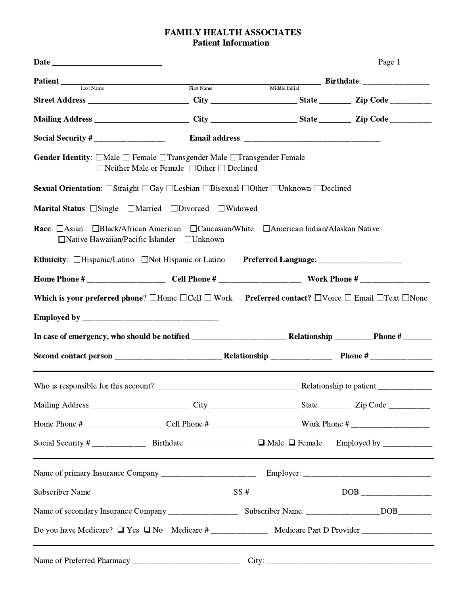# **FAMILY HEALTH ASSOCIATES Patient Information**

|                                                                                                                                                                    |                                                        |  |                                                                          | Page 1 |  |  |  |
|--------------------------------------------------------------------------------------------------------------------------------------------------------------------|--------------------------------------------------------|--|--------------------------------------------------------------------------|--------|--|--|--|
|                                                                                                                                                                    |                                                        |  | <b>Patient</b> Last Name First Name First Name Middle Initial Birthdate: |        |  |  |  |
| Street Address ________________________City ____________________State __________Zip Code ___________                                                               |                                                        |  |                                                                          |        |  |  |  |
| Mailing Address ________________________City ______________________State __________Zip Code _________                                                              |                                                        |  |                                                                          |        |  |  |  |
|                                                                                                                                                                    |                                                        |  |                                                                          |        |  |  |  |
| <b>Gender Identity</b> : $\Box$ Male $\Box$ Female $\Box$ Transgender Male $\Box$ Transgender Female<br>$\Box$ Neither Male or Female $\Box$ Other $\Box$ Declined |                                                        |  |                                                                          |        |  |  |  |
| Sexual Orientation: □Straight □Gay □Lesbian □Bisexual □Other □Unknown □Declined                                                                                    |                                                        |  |                                                                          |        |  |  |  |
| Marital Status: □Single □Married □Divorced □Widowed                                                                                                                |                                                        |  |                                                                          |        |  |  |  |
| Race: □Asian □Black/African American □Caucasian/White □American Indian/Alaskan Native                                                                              | $\Box$ Native Hawaiian/Pacific Islander $\Box$ Unknown |  |                                                                          |        |  |  |  |
| Ethnicity: □Hispanic/Latino □Not Hispanic or Latino Preferred Language: ________________                                                                           |                                                        |  |                                                                          |        |  |  |  |
|                                                                                                                                                                    |                                                        |  |                                                                          |        |  |  |  |
| Which is your preferred phone? $\Box$ Home $\Box$ Cell $\Box$ Work Preferred contact? $\Box$ Voice $\Box$ Email $\Box$ Text $\Box$ None                            |                                                        |  |                                                                          |        |  |  |  |
|                                                                                                                                                                    |                                                        |  |                                                                          |        |  |  |  |
|                                                                                                                                                                    |                                                        |  |                                                                          |        |  |  |  |
|                                                                                                                                                                    |                                                        |  |                                                                          |        |  |  |  |
|                                                                                                                                                                    |                                                        |  |                                                                          |        |  |  |  |
|                                                                                                                                                                    |                                                        |  |                                                                          |        |  |  |  |
|                                                                                                                                                                    |                                                        |  |                                                                          |        |  |  |  |
|                                                                                                                                                                    |                                                        |  |                                                                          |        |  |  |  |
|                                                                                                                                                                    |                                                        |  |                                                                          |        |  |  |  |
|                                                                                                                                                                    |                                                        |  |                                                                          |        |  |  |  |
|                                                                                                                                                                    |                                                        |  |                                                                          |        |  |  |  |
|                                                                                                                                                                    |                                                        |  |                                                                          |        |  |  |  |
|                                                                                                                                                                    |                                                        |  |                                                                          |        |  |  |  |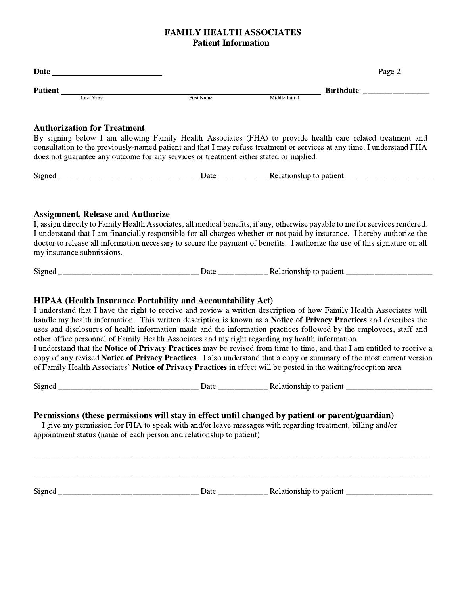# **FAMILY HEALTH ASSOCIATES Patient Information**

| <b>Date</b>    |            |            |                   |  | Page 2 |
|----------------|------------|------------|-------------------|--|--------|
| <b>Patient</b> |            |            | <b>Birthdate:</b> |  |        |
|                | Last Name. | First Name | Middle Initial    |  |        |

### **Authorization for Treatment**

By signing below I am allowing Family Health Associates (FHA) to provide health care related treatment and consultation to the previously-named patient and that I may refuse treatment or services at any time. I understand FHA does not guarantee any outcome for any services or treatment either stated or implied.

### **Assignment, Release and Authorize**

I, assign directly to Family Health Associates, all medical benefits, if any, otherwise payable to me for services rendered. I understand that I am financially responsible for all charges whether or not paid by insurance. I hereby authorize the doctor to release all information necessary to secure the payment of benefits. I authorize the use of this signature on all my insurance submissions.

# **HIPAA (Health Insurance Portability and Accountability Act)**

I understand that I have the right to receive and review a written description of how Family Health Associates will handle my health information. This written description is known as a Notice of Privacy Practices and describes the uses and disclosures of health information made and the information practices followed by the employees, staff and other office personnel of Family Health Associates and my right regarding my health information.

I understand that the Notice of Privacy Practices may be revised from time to time, and that I am entitled to receive a copy of any revised Notice of Privacy Practices. I also understand that a copy or summary of the most current version of Family Health Associates' Notice of Privacy Practices in effect will be posted in the waiting/reception area.

## Permissions (these permissions will stay in effect until changed by patient or parent/guardian)

I give my permission for FHA to speak with and/or leave messages with regarding treatment, billing and/or appointment status (name of each person and relationship to patient)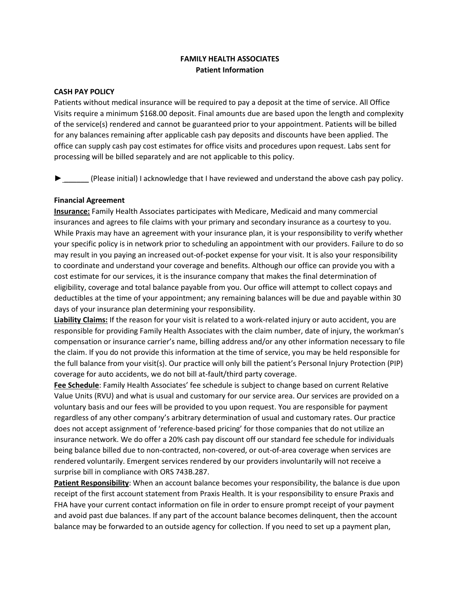### **FAMILY HEALTH ASSOCIATES Patient Information**

#### **CASH PAY POLICY**

Patients without medical insurance will be required to pay a deposit at the time of service. All Office Visits require a minimum \$168.00 deposit. Final amounts due are based upon the length and complexity of the service(s) rendered and cannot be guaranteed prior to your appointment. Patients will be billed for any balances remaining after applicable cash pay deposits and discounts have been applied. The office can supply cash pay cost estimates for office visits and procedures upon request. Labs sent for processing will be billed separately and are not applicable to this policy.

 $\beta$  (Please initial) I acknowledge that I have reviewed and understand the above cash pay policy.

#### **Financial Agreement**

**Insurance:** Family Health Associates participates with Medicare, Medicaid and many commercial insurances and agrees to file claims with your primary and secondary insurance as a courtesy to you. While Praxis may have an agreement with your insurance plan, it is your responsibility to verify whether your specific policy is in network prior to scheduling an appointment with our providers. Failure to do so may result in you paying an increased out-of-pocket expense for your visit. It is also your responsibility to coordinate and understand your coverage and benefits. Although our office can provide you with a cost estimate for our services, it is the insurance company that makes the final determination of eligibility, coverage and total balance payable from you. Our office will attempt to collect copays and deductibles at the time of your appointment; any remaining balances will be due and payable within 30 days of your insurance plan determining your responsibility.

**Liability Claims:** If the reason for your visit is related to a work-related injury or auto accident, you are responsible for providing Family Health Associates with the claim number, date of injury, the workman's compensation or insurance carrier's name, billing address and/or any other information necessary to file the claim. If you do not provide this information at the time of service, you may be held responsible for the full balance from your visit(s). Our practice will only bill the patient's Personal Injury Protection (PIP) coverage for auto accidents, we do not bill at-fault/third party coverage.

**Fee Schedule**: Family Health Associates' fee schedule is subject to change based on current Relative Value Units (RVU) and what is usual and customary for our service area. Our services are provided on a voluntary basis and our fees will be provided to you upon request. You are responsible for payment regardless of any other company's arbitrary determination of usual and customary rates. Our practice does not accept assignment of 'reference-based pricing' for those companies that do not utilize an insurance network. We do offer a 20% cash pay discount off our standard fee schedule for individuals being balance billed due to non-contracted, non-covered, or out-of-area coverage when services are rendered voluntarily. Emergent services rendered by our providers involuntarily will not receive a surprise bill in compliance with ORS 743B.287.

**Patient Responsibility**: When an account balance becomes your responsibility, the balance is due upon receipt of the first account statement from Praxis Health. It is your responsibility to ensure Praxis and FHA have your current contact information on file in order to ensure prompt receipt of your payment and avoid past due balances. If any part of the account balance becomes delinquent, then the account balance may be forwarded to an outside agency for collection. If you need to set up a payment plan,